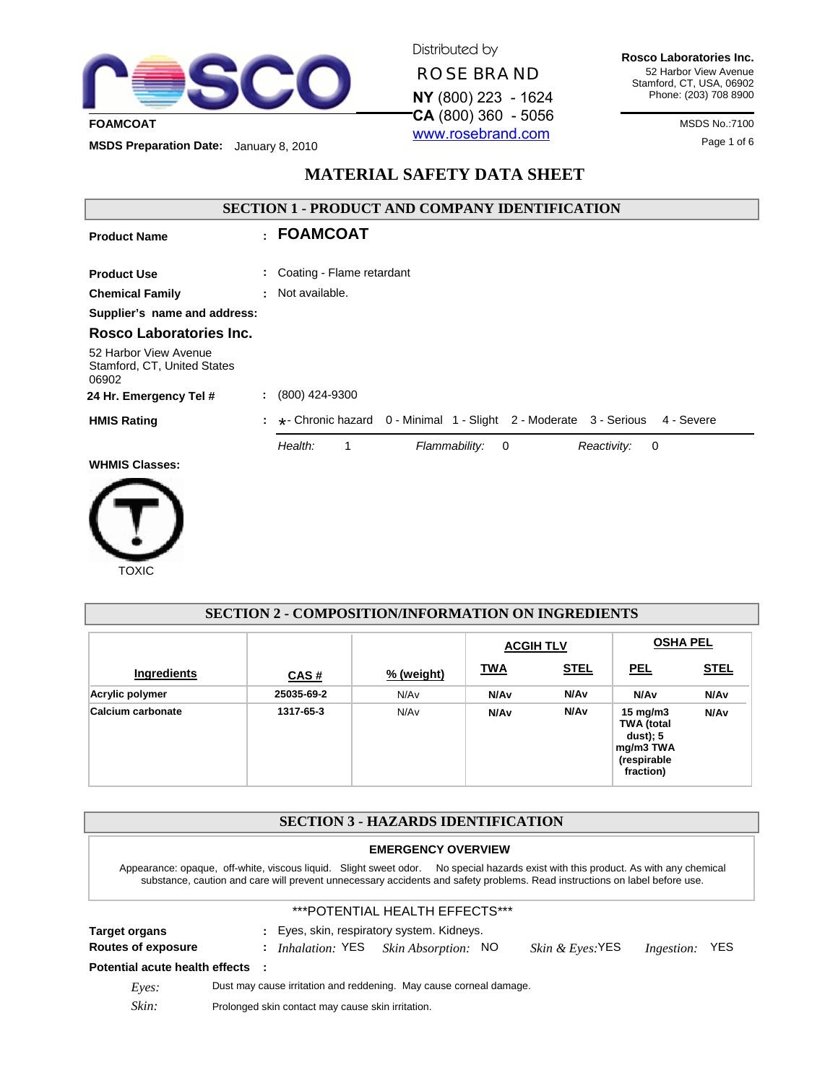

Distributed by

**ROSE BRAND** 

**NY** (800) 223 - 1624 www.rosebrand.com

**Rosco Laboratories Inc.** 52 Harbor View Avenue Stamford, CT, USA, 06902 Phone: (203) 708 8900

**MSDS Preparation Date:** January 8, 2010<br> **MSDS Preparation Date:** January 8, 2010

# **MATERIAL SAFETY DATA SHEET**

| <b>SECTION 1 - PRODUCT AND COMPANY IDENTIFICATION</b>         |    |                           |                                                                                 |  |
|---------------------------------------------------------------|----|---------------------------|---------------------------------------------------------------------------------|--|
| <b>Product Name</b>                                           |    | : FOAMCOAT                |                                                                                 |  |
| <b>Product Use</b>                                            | ÷  | Coating - Flame retardant |                                                                                 |  |
| <b>Chemical Family</b>                                        |    | : Not available.          |                                                                                 |  |
| Supplier's name and address:                                  |    |                           |                                                                                 |  |
| Rosco Laboratories Inc.                                       |    |                           |                                                                                 |  |
| 52 Harbor View Avenue<br>Stamford, CT, United States<br>06902 |    |                           |                                                                                 |  |
| 24 Hr. Emergency Tel #                                        | ÷. | (800) 424-9300            |                                                                                 |  |
| <b>HMIS Rating</b>                                            |    |                           | *- Chronic hazard 0 - Minimal 1 - Slight 2 - Moderate 3 - Serious<br>4 - Severe |  |
|                                                               |    | Health:                   | Flammability:<br>Reactivity:<br>$\overline{\phantom{0}}$<br>0                   |  |
| <b>WHMIS Classes:</b>                                         |    |                           |                                                                                 |  |
|                                                               |    |                           |                                                                                 |  |



| <b>SECTION 2 - COMPOSITION/INFORMATION ON INGREDIENTS</b> |                                     |            |                  |                  |                                                                                       |                  |
|-----------------------------------------------------------|-------------------------------------|------------|------------------|------------------|---------------------------------------------------------------------------------------|------------------|
|                                                           | <b>OSHA PEL</b><br><b>ACGIH TLV</b> |            |                  |                  |                                                                                       |                  |
| Ingredients                                               | CAS#                                | % (weight) | <b>TWA</b>       | <b>STEL</b>      | <b>PEL</b>                                                                            | <b>STEL</b>      |
| Acrylic polymer                                           | 25035-69-2                          | N/Av       | N/A <sub>v</sub> | N/A <sub>v</sub> | N/A <sub>v</sub>                                                                      | N/Av             |
| Calcium carbonate                                         | 1317-65-3                           | N/Av       | N/A <sub>v</sub> | N/A <sub>v</sub> | 15 mg/m $3$<br><b>TWA</b> (total<br>dust); 5<br>mg/m3 TWA<br>(respirable<br>fraction) | N/A <sub>v</sub> |

| <b>SECTION 3 - HAZARDS IDENTIFICATION</b>                                                                                                                                                                                                                        |                                                                                                  |  |  |  |  |
|------------------------------------------------------------------------------------------------------------------------------------------------------------------------------------------------------------------------------------------------------------------|--------------------------------------------------------------------------------------------------|--|--|--|--|
| <b>EMERGENCY OVERVIEW</b>                                                                                                                                                                                                                                        |                                                                                                  |  |  |  |  |
| Appearance: opaque, off-white, viscous liquid. Slight sweet odor. No special hazards exist with this product. As with any chemical<br>substance, caution and care will prevent unnecessary accidents and safety problems. Read instructions on label before use. |                                                                                                  |  |  |  |  |
|                                                                                                                                                                                                                                                                  | ***POTENTIAL HEALTH EFFECTS***                                                                   |  |  |  |  |
| <b>Target organs</b>                                                                                                                                                                                                                                             | : Eyes, skin, respiratory system. Kidneys.                                                       |  |  |  |  |
| <b>Routes of exposure</b>                                                                                                                                                                                                                                        | : Inhalation: YES Skin Absorption: NO<br><i>Skin &amp; Eyes</i> : $YES$<br><i>Ingestion:</i> YES |  |  |  |  |
| Potential acute health effects :                                                                                                                                                                                                                                 |                                                                                                  |  |  |  |  |
| Eves:                                                                                                                                                                                                                                                            | Dust may cause irritation and reddening. May cause corneal damage.                               |  |  |  |  |

Skin: Prolonged skin contact may cause skin irritation.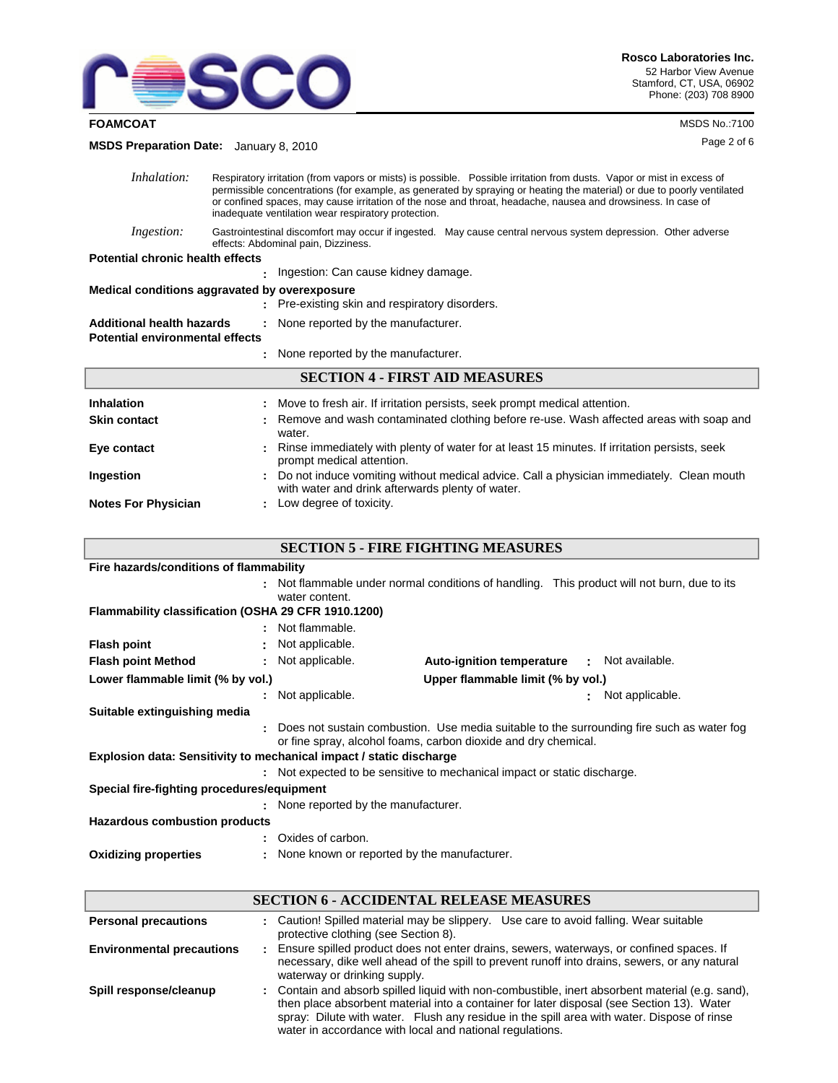

**FOAMCOAT** MSDS No.:7100

Page 2 of 6 **MSDS Preparation Date:** January 8, 2010

| Inhalation:                                   | Respiratory irritation (from vapors or mists) is possible. Possible irritation from dusts. Vapor or mist in excess of<br>permissible concentrations (for example, as generated by spraying or heating the material) or due to poorly ventilated<br>or confined spaces, may cause irritation of the nose and throat, headache, nausea and drowsiness. In case of<br>inadequate ventilation wear respiratory protection. |  |  |  |
|-----------------------------------------------|------------------------------------------------------------------------------------------------------------------------------------------------------------------------------------------------------------------------------------------------------------------------------------------------------------------------------------------------------------------------------------------------------------------------|--|--|--|
| <i>Ingestion:</i>                             | Gastrointestinal discomfort may occur if ingested. May cause central nervous system depression. Other adverse<br>effects: Abdominal pain, Dizziness.                                                                                                                                                                                                                                                                   |  |  |  |
| <b>Potential chronic health effects</b>       |                                                                                                                                                                                                                                                                                                                                                                                                                        |  |  |  |
|                                               | . Ingestion: Can cause kidney damage.                                                                                                                                                                                                                                                                                                                                                                                  |  |  |  |
| Medical conditions aggravated by overexposure |                                                                                                                                                                                                                                                                                                                                                                                                                        |  |  |  |
|                                               | : Pre-existing skin and respiratory disorders.                                                                                                                                                                                                                                                                                                                                                                         |  |  |  |
| <b>Additional health hazards</b>              | : None reported by the manufacturer.                                                                                                                                                                                                                                                                                                                                                                                   |  |  |  |
| <b>Potential environmental effects</b>        |                                                                                                                                                                                                                                                                                                                                                                                                                        |  |  |  |
|                                               | : None reported by the manufacturer.                                                                                                                                                                                                                                                                                                                                                                                   |  |  |  |
| <b>SECTION 4 - FIRST AID MEASURES</b>         |                                                                                                                                                                                                                                                                                                                                                                                                                        |  |  |  |

| <b>Inhalation</b><br><b>Skin contact</b> | : Move to fresh air. If irritation persists, seek prompt medical attention.<br>: Remove and wash contaminated clothing before re-use. Wash affected areas with soap and<br>water. |
|------------------------------------------|-----------------------------------------------------------------------------------------------------------------------------------------------------------------------------------|
| Eye contact                              | : Rinse immediately with plenty of water for at least 15 minutes. If irritation persists, seek<br>prompt medical attention.                                                       |
| Ingestion                                | : Do not induce vomiting without medical advice. Call a physician immediately. Clean mouth<br>with water and drink afterwards plenty of water.                                    |
| <b>Notes For Physician</b>               | : Low degree of toxicity.                                                                                                                                                         |

### **SECTION 5 - FIRE FIGHTING MEASURES**

| Fire hazards/conditions of flammability                                |                                               |                                                                                                                                                             |                  |  |  |
|------------------------------------------------------------------------|-----------------------------------------------|-------------------------------------------------------------------------------------------------------------------------------------------------------------|------------------|--|--|
|                                                                        | water content.                                | : Not flammable under normal conditions of handling. This product will not burn, due to its                                                                 |                  |  |  |
| Flammability classification (OSHA 29 CFR 1910.1200)                    |                                               |                                                                                                                                                             |                  |  |  |
|                                                                        | : Not flammable.                              |                                                                                                                                                             |                  |  |  |
| <b>Flash point</b>                                                     | : Not applicable.                             |                                                                                                                                                             |                  |  |  |
| <b>Flash point Method</b>                                              | : Not applicable.                             | <b>Auto-ignition temperature</b>                                                                                                                            | : Not available. |  |  |
| Lower flammable limit (% by vol.)<br>Upper flammable limit (% by vol.) |                                               |                                                                                                                                                             |                  |  |  |
|                                                                        | : Not applicable.                             |                                                                                                                                                             | Not applicable.  |  |  |
| Suitable extinguishing media                                           |                                               |                                                                                                                                                             |                  |  |  |
|                                                                        |                                               | Does not sustain combustion. Use media suitable to the surrounding fire such as water fog<br>or fine spray, alcohol foams, carbon dioxide and dry chemical. |                  |  |  |
| Explosion data: Sensitivity to mechanical impact / static discharge    |                                               |                                                                                                                                                             |                  |  |  |
|                                                                        |                                               | : Not expected to be sensitive to mechanical impact or static discharge.                                                                                    |                  |  |  |
| Special fire-fighting procedures/equipment                             |                                               |                                                                                                                                                             |                  |  |  |
|                                                                        | : None reported by the manufacturer.          |                                                                                                                                                             |                  |  |  |
| <b>Hazardous combustion products</b>                                   |                                               |                                                                                                                                                             |                  |  |  |
|                                                                        | Oxides of carbon.                             |                                                                                                                                                             |                  |  |  |
| <b>Oxidizing properties</b>                                            | : None known or reported by the manufacturer. |                                                                                                                                                             |                  |  |  |

# **SECTION 6 - ACCIDENTAL RELEASE MEASURES**

| <b>Personal precautions</b>      | : Caution! Spilled material may be slippery. Use care to avoid falling. Wear suitable<br>protective clothing (see Section 8).                                                                                                                                                                                                                          |
|----------------------------------|--------------------------------------------------------------------------------------------------------------------------------------------------------------------------------------------------------------------------------------------------------------------------------------------------------------------------------------------------------|
| <b>Environmental precautions</b> | : Ensure spilled product does not enter drains, sewers, waterways, or confined spaces. If<br>necessary, dike well ahead of the spill to prevent runoff into drains, sewers, or any natural<br>waterway or drinking supply.                                                                                                                             |
| Spill response/cleanup           | : Contain and absorb spilled liquid with non-combustible, inert absorbent material (e.g. sand),<br>then place absorbent material into a container for later disposal (see Section 13). Water<br>spray: Dilute with water. Flush any residue in the spill area with water. Dispose of rinse<br>water in accordance with local and national regulations. |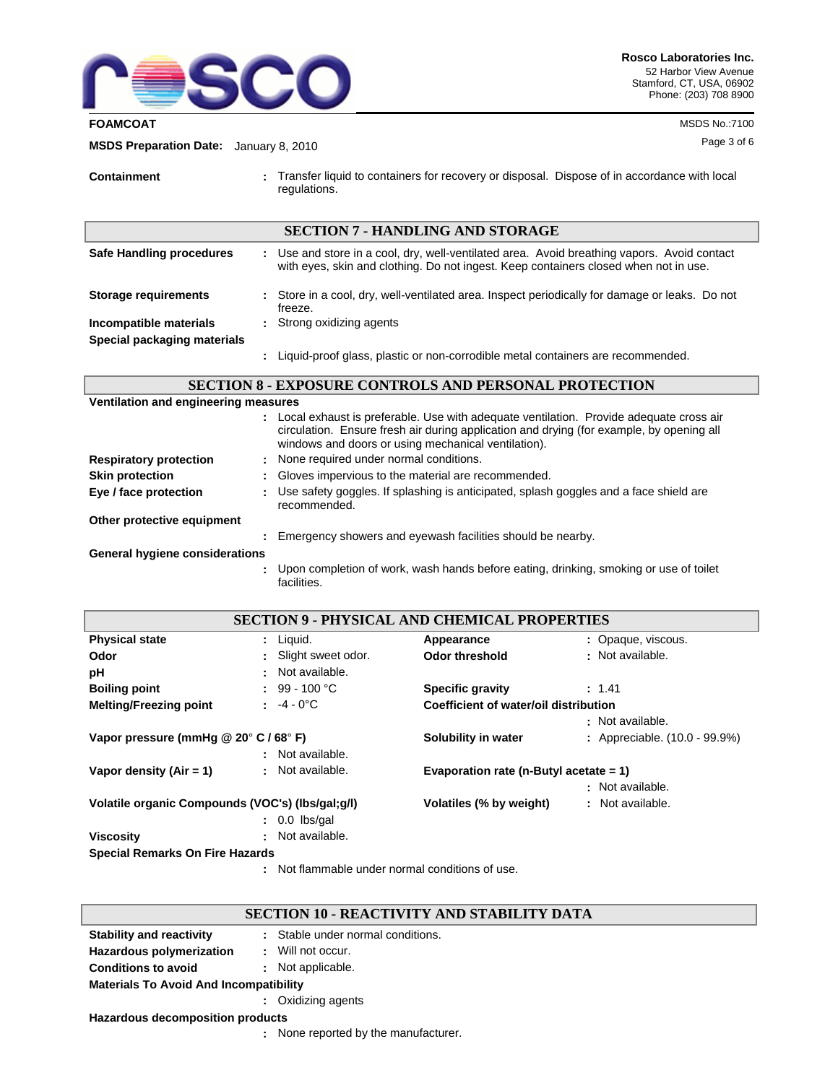

#### **FOAMCOAT** MSDS No.:7100

Page 3 of 6 **MSDS Preparation Date:** January 8, 2010

**Containment :** Transfer liquid to containers for recovery or disposal. Dispose of in accordance with local regulations.

| <b>SECTION 7 - HANDLING AND STORAGE</b> |  |                                                                                                                                                                                     |  |
|-----------------------------------------|--|-------------------------------------------------------------------------------------------------------------------------------------------------------------------------------------|--|
| Safe Handling procedures                |  | : Use and store in a cool, dry, well-ventilated area. Avoid breathing vapors. Avoid contact<br>with eyes, skin and clothing. Do not ingest. Keep containers closed when not in use. |  |
| <b>Storage requirements</b>             |  | : Store in a cool, dry, well-ventilated area. Inspect periodically for damage or leaks. Do not<br>freeze.                                                                           |  |
| Incompatible materials                  |  | : Strong oxidizing agents                                                                                                                                                           |  |
| Special packaging materials             |  |                                                                                                                                                                                     |  |
|                                         |  | Liquid-proof glass, plastic or non-corrodible metal containers are recommended.                                                                                                     |  |

**SECTION 8 - EXPOSURE CONTROLS AND PERSONAL PROTECTION**

**Ventilation and engineering measures**

|                                |   | Local exhaust is preferable. Use with adequate ventilation. Provide adequate cross air<br>circulation. Ensure fresh air during application and drying (for example, by opening all<br>windows and doors or using mechanical ventilation). |
|--------------------------------|---|-------------------------------------------------------------------------------------------------------------------------------------------------------------------------------------------------------------------------------------------|
| <b>Respiratory protection</b>  |   | : None required under normal conditions.                                                                                                                                                                                                  |
| <b>Skin protection</b>         |   | : Gloves impervious to the material are recommended.                                                                                                                                                                                      |
| Eye / face protection          |   | : Use safety goggles. If splashing is anticipated, splash goggles and a face shield are<br>recommended.                                                                                                                                   |
| Other protective equipment     |   |                                                                                                                                                                                                                                           |
|                                | ÷ | Emergency showers and eyewash facilities should be nearby.                                                                                                                                                                                |
| General hygiene considerations |   |                                                                                                                                                                                                                                           |
|                                |   | Upon completion of work, wash hands before eating, drinking, smoking or use of toilet<br>facilities.                                                                                                                                      |

| <b>SECTION 9 - PHYSICAL AND CHEMICAL PROPERTIES</b>         |                     |                                           |                               |  |
|-------------------------------------------------------------|---------------------|-------------------------------------------|-------------------------------|--|
| <b>Physical state</b>                                       | $:$ Liquid.         | Appearance                                | : Opaque, viscous.            |  |
| Odor                                                        | Slight sweet odor.  | <b>Odor threshold</b>                     | : Not available.              |  |
| рH                                                          | : Not available.    |                                           |                               |  |
| <b>Boiling point</b>                                        | : $99 - 100 °C$     | <b>Specific gravity</b>                   | : 1.41                        |  |
| <b>Melting/Freezing point</b>                               | : $-4 - 0^{\circ}C$ | Coefficient of water/oil distribution     |                               |  |
|                                                             |                     |                                           | : Not available.              |  |
| Vapor pressure (mmHq $@$ 20 $^{\circ}$ C / 68 $^{\circ}$ F) |                     | Solubility in water                       | : Appreciable. (10.0 - 99.9%) |  |
|                                                             | : Not available.    |                                           |                               |  |
| Vapor density $(Air = 1)$                                   | : Not available.    | Evaporation rate (n-Butyl acetate $= 1$ ) |                               |  |
|                                                             |                     |                                           | : Not available.              |  |
| Volatile organic Compounds (VOC's) (lbs/gal;g/l)            |                     | Volatiles (% by weight)                   | : Not available.              |  |
|                                                             | $: 0.0$ lbs/gal     |                                           |                               |  |
| <b>Viscosity</b>                                            | : Not available.    |                                           |                               |  |
| <b>Special Remarks On Fire Hazards</b>                      |                     |                                           |                               |  |

Not flammable under normal conditions of use. **:**

**:** None reported by the manufacturer.

## **SECTION 10 - REACTIVITY AND STABILITY DATA**

| <b>Stability and reactivity</b>               |  | : Stable under normal conditions. |  |  |  |
|-----------------------------------------------|--|-----------------------------------|--|--|--|
| Hazardous polymerization                      |  | : Will not occur.                 |  |  |  |
| <b>Conditions to avoid</b>                    |  | : Not applicable.                 |  |  |  |
| <b>Materials To Avoid And Incompatibility</b> |  |                                   |  |  |  |
|                                               |  | : Oxidizing agents                |  |  |  |
| Hazardous decomposition products              |  |                                   |  |  |  |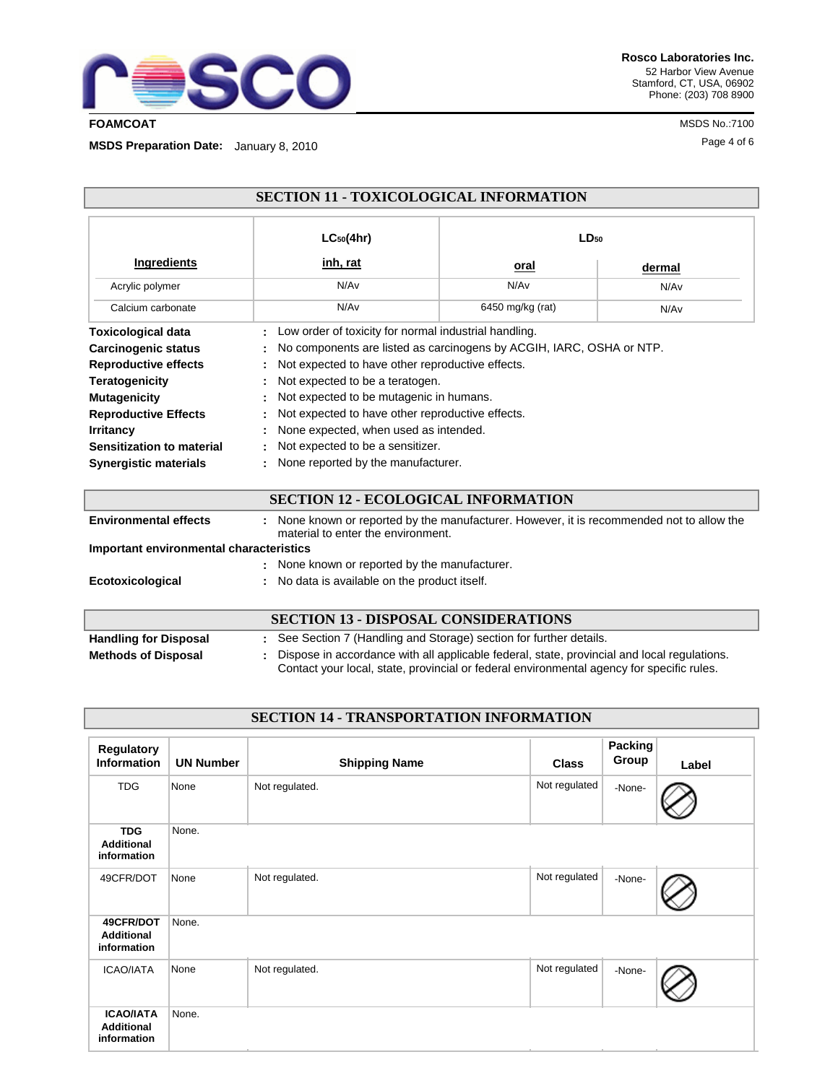

**Rosco Laboratories Inc.** 52 Harbor View Avenue Stamford, CT, USA, 06902 Phone: (203) 708 8900

Page 4 of 6 **MSDS Preparation Date:** January 8, 2010

| <b>SECTION 11 - TOXICOLOGICAL INFORMATION</b>                                                                                                                                                                                                   |                                                                                                                                                                                                                                                                                                                                                                                                                                            |                  |                  |  |
|-------------------------------------------------------------------------------------------------------------------------------------------------------------------------------------------------------------------------------------------------|--------------------------------------------------------------------------------------------------------------------------------------------------------------------------------------------------------------------------------------------------------------------------------------------------------------------------------------------------------------------------------------------------------------------------------------------|------------------|------------------|--|
|                                                                                                                                                                                                                                                 | $LC_{50}(4hr)$                                                                                                                                                                                                                                                                                                                                                                                                                             | $LD_{50}$        |                  |  |
| Ingredients                                                                                                                                                                                                                                     | <u>inh, rat</u>                                                                                                                                                                                                                                                                                                                                                                                                                            | oral             | dermal           |  |
| Acrylic polymer                                                                                                                                                                                                                                 | N/A <sub>v</sub>                                                                                                                                                                                                                                                                                                                                                                                                                           | N/Av             | N/Av             |  |
| Calcium carbonate                                                                                                                                                                                                                               | N/Av                                                                                                                                                                                                                                                                                                                                                                                                                                       | 6450 mg/kg (rat) | N/A <sub>v</sub> |  |
| <b>Toxicological data</b><br>Carcinogenic status<br><b>Reproductive effects</b><br><b>Teratogenicity</b><br><b>Mutagenicity</b><br><b>Reproductive Effects</b><br><b>Irritancy</b><br>Sensitization to material<br><b>Synergistic materials</b> | : Low order of toxicity for normal industrial handling.<br>No components are listed as carcinogens by ACGIH, IARC, OSHA or NTP.<br>Not expected to have other reproductive effects.<br>Not expected to be a teratogen.<br>Not expected to be mutagenic in humans.<br>: Not expected to have other reproductive effects.<br>None expected, when used as intended.<br>Not expected to be a sensitizer.<br>None reported by the manufacturer. |                  |                  |  |
| <b>SECTION 12 - ECOLOGICAL INFORMATION</b>                                                                                                                                                                                                      |                                                                                                                                                                                                                                                                                                                                                                                                                                            |                  |                  |  |

| <b>Environmental effects</b>            | : None known or reported by the manufacturer. However, it is recommended not to allow the<br>material to enter the environment.                                                          |  |
|-----------------------------------------|------------------------------------------------------------------------------------------------------------------------------------------------------------------------------------------|--|
| Important environmental characteristics |                                                                                                                                                                                          |  |
|                                         | : None known or reported by the manufacturer.                                                                                                                                            |  |
| Ecotoxicological                        | : No data is available on the product itself.                                                                                                                                            |  |
|                                         |                                                                                                                                                                                          |  |
|                                         | <b>SECTION 13 - DISPOSAL CONSIDERATIONS</b>                                                                                                                                              |  |
| <b>Handling for Disposal</b>            | : See Section 7 (Handling and Storage) section for further details.                                                                                                                      |  |
| <b>Methods of Disposal</b>              | Dispose in accordance with all applicable federal, state, provincial and local regulations.<br>Contact your local, state, provincial or federal environmental agency for specific rules. |  |

# **SECTION 14 - TRANSPORTATION INFORMATION**

| Regulatory<br><b>Information</b>                     | <b>UN Number</b> | <b>Shipping Name</b> | <b>Class</b>  | Packing<br>Group | Label |
|------------------------------------------------------|------------------|----------------------|---------------|------------------|-------|
| <b>TDG</b>                                           | None             | Not regulated.       | Not regulated | -None-           |       |
| <b>TDG</b><br><b>Additional</b><br>information       | None.            |                      |               |                  |       |
| 49CFR/DOT                                            | None             | Not regulated.       | Not regulated | -None-           |       |
| 49CFR/DOT<br><b>Additional</b><br>information        | None.            |                      |               |                  |       |
| ICAO/IATA                                            | None             | Not regulated.       | Not regulated | -None-           |       |
| <b>ICAO/IATA</b><br><b>Additional</b><br>information | None.            |                      |               |                  |       |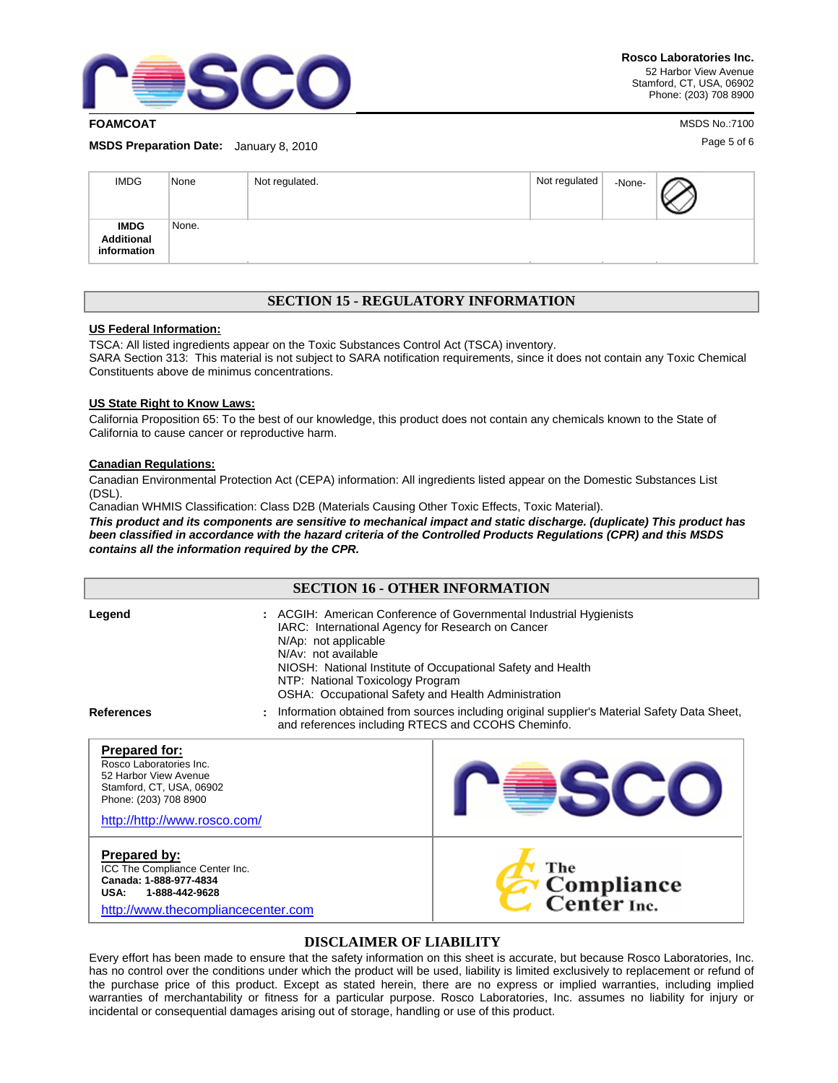

**FOAMCOAT** MSDS No.:7100

Page 5 of 6 **MSDS Preparation Date:** January 8, 2010

| <b>IMDG</b>                                     | None  | Not regulated. | Not regulated | -None- |  |
|-------------------------------------------------|-------|----------------|---------------|--------|--|
| <b>IMDG</b><br><b>Additional</b><br>information | None. |                |               |        |  |

## **SECTION 15 - REGULATORY INFORMATION**

### **US Federal Information:**

TSCA: All listed ingredients appear on the Toxic Substances Control Act (TSCA) inventory. SARA Section 313: This material is not subject to SARA notification requirements, since it does not contain any Toxic Chemical Constituents above de minimus concentrations.

#### **US State Right to Know Laws:**

California Proposition 65: To the best of our knowledge, this product does not contain any chemicals known to the State of California to cause cancer or reproductive harm.

#### **Canadian Regulations:**

Canadian Environmental Protection Act (CEPA) information: All ingredients listed appear on the Domestic Substances List (DSL).

Canadian WHMIS Classification: Class D2B (Materials Causing Other Toxic Effects, Toxic Material).

*This product and its components are sensitive to mechanical impact and static discharge. (duplicate) This product has been classified in accordance with the hazard criteria of the Controlled Products Regulations (CPR) and this MSDS contains all the information required by the CPR.*

| <b>SECTION 16 - OTHER INFORMATION</b>                                                                                                                         |                                             |                                                                                                                                                                                                                                                                                   |  |  |
|---------------------------------------------------------------------------------------------------------------------------------------------------------------|---------------------------------------------|-----------------------------------------------------------------------------------------------------------------------------------------------------------------------------------------------------------------------------------------------------------------------------------|--|--|
| Legend                                                                                                                                                        | N/Ap: not applicable<br>N/Av: not available | : ACGIH: American Conference of Governmental Industrial Hygienists<br>IARC: International Agency for Research on Cancer<br>NIOSH: National Institute of Occupational Safety and Health<br>NTP: National Toxicology Program<br>OSHA: Occupational Safety and Health Administration |  |  |
| <b>References</b>                                                                                                                                             |                                             | Information obtained from sources including original supplier's Material Safety Data Sheet,<br>and references including RTECS and CCOHS Cheminfo.                                                                                                                                 |  |  |
| <b>Prepared for:</b><br>Rosco Laboratories Inc.<br>52 Harbor View Avenue<br>Stamford, CT, USA, 06902<br>Phone: (203) 708 8900<br>http://http://www.rosco.com/ |                                             |                                                                                                                                                                                                                                                                                   |  |  |
| Prepared by:<br>ICC The Compliance Center Inc.<br>Canada: 1-888-977-4834<br>1-888-442-9628<br>USA:<br>http://www.thecompliancecenter.com                      |                                             | The<br>Compliance<br>Center Inc.                                                                                                                                                                                                                                                  |  |  |

### **DISCLAIMER OF LIABILITY**

Every effort has been made to ensure that the safety information on this sheet is accurate, but because Rosco Laboratories, Inc. has no control over the conditions under which the product will be used, liability is limited exclusively to replacement or refund of the purchase price of this product. Except as stated herein, there are no express or implied warranties, including implied warranties of merchantability or fitness for a particular purpose. Rosco Laboratories, Inc. assumes no liability for injury or incidental or consequential damages arising out of storage, handling or use of this product.